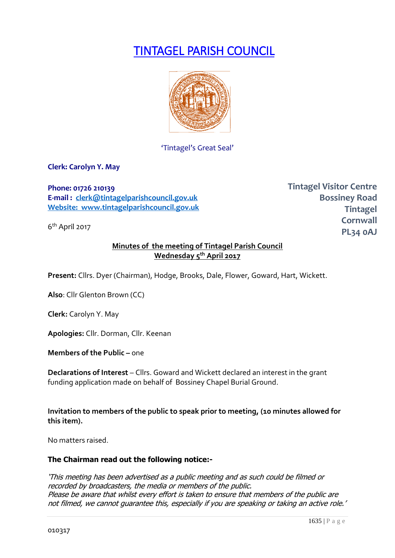# TINTAGEL PARISH COUNCIL



'Tintagel's Great Seal'

**Clerk: Carolyn Y. May**

**Phone: 01726 210139 E-mail : [clerk@tintagelparishcouncil.gov.uk](mailto:clerk@tintagelparishcouncil.gov.uk) Website: www.tintagelparishcouncil.gov.uk**

6 th April 2017

**Tintagel Visitor Centre Bossiney Road Tintagel Cornwall PL34 0AJ**

## **Minutes of the meeting of Tintagel Parish Council Wednesday 5th April 2017**

**Present:** Cllrs. Dyer (Chairman), Hodge, Brooks, Dale, Flower, Goward, Hart, Wickett.

**Also**: Cllr Glenton Brown (CC)

**Clerk:** Carolyn Y. May

**Apologies:** Cllr. Dorman, Cllr. Keenan

**Members of the Public – one** 

**Declarations of Interest** – Cllrs. Goward and Wickett declared an interest in the grant funding application made on behalf of Bossiney Chapel Burial Ground.

**Invitation to members of the public to speak prior to meeting, (10 minutes allowed for this item).**

No matters raised.

#### **The Chairman read out the following notice:-**

'This meeting has been advertised as a public meeting and as such could be filmed or recorded by broadcasters, the media or members of the public. Please be aware that whilst every effort is taken to ensure that members of the public are not filmed, we cannot guarantee this, especially if you are speaking or taking an active role.'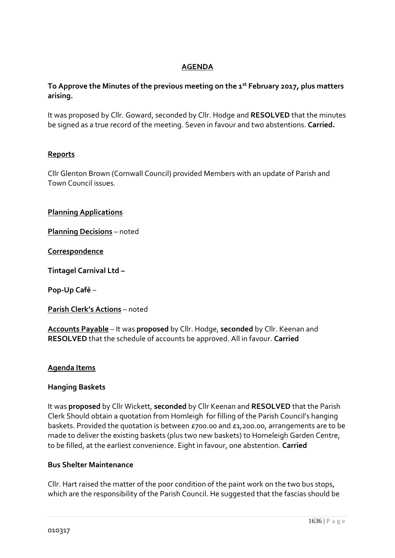## **AGENDA**

# **To Approve the Minutes of the previous meeting on the 1st February 2017, plus matters arising.**

It was proposed by Cllr. Goward, seconded by Cllr. Hodge and **RESOLVED** that the minutes be signed as a true record of the meeting. Seven in favour and two abstentions. **Carried.**

## **Reports**

Cllr Glenton Brown (Cornwall Council) provided Members with an update of Parish and Town Council issues.

**Planning Applications**

**Planning Decisions** – noted

**Correspondence**

**Tintagel Carnival Ltd –**

**Pop-Up Café** –

**Parish Clerk's Actions** – noted

**Accounts Payable** – It was **proposed** by Cllr. Hodge, **seconded** by Cllr. Keenan and **RESOLVED** that the schedule of accounts be approved. All in favour. **Carried**

#### **Agenda Items**

#### **Hanging Baskets**

It was **proposed** by Cllr Wickett, **seconded** by Cllr Keenan and **RESOLVED** that the Parish Clerk Should obtain a quotation from Homleigh for filling of the Parish Council's hanging baskets. Provided the quotation is between £700.00 and £1,200.00, arrangements are to be made to deliver the existing baskets (plus two new baskets) to Homeleigh Garden Centre, to be filled, at the earliest convenience. Eight in favour, one abstention. **Carried**

#### **Bus Shelter Maintenance**

Cllr. Hart raised the matter of the poor condition of the paint work on the two bus stops, which are the responsibility of the Parish Council. He suggested that the fascias should be